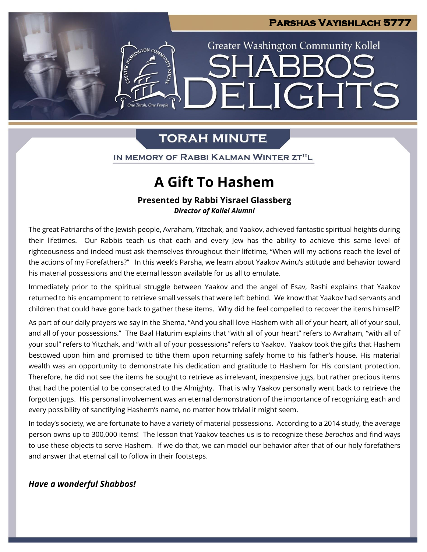**LIGHTS** 

**Greater Washington Community Kollel** 

## **TORAH MINUTE**

GTON CO.

IN MEMORY OF RABBI KALMAN WINTER ZT"L

# **A Gift To Hashem**

### **Presented by Rabbi Yisrael Glassberg** *Director of Kollel Alumni*

The great Patriarchs of the Jewish people, Avraham, Yitzchak, and Yaakov, achieved fantastic spiritual heights during their lifetimes. Our Rabbis teach us that each and every Jew has the ability to achieve this same level of righteousness and indeed must ask themselves throughout their lifetime, "When will my actions reach the level of the actions of my Forefathers?" In this week's Parsha, we learn about Yaakov Avinu's attitude and behavior toward his material possessions and the eternal lesson available for us all to emulate.

Immediately prior to the spiritual struggle between Yaakov and the angel of Esav, Rashi explains that Yaakov returned to his encampment to retrieve small vessels that were left behind. We know that Yaakov had servants and children that could have gone back to gather these items. Why did he feel compelled to recover the items himself?

As part of our daily prayers we say in the Shema, "And you shall love Hashem with all of your heart, all of your soul, and all of your possessions." The Baal Haturim explains that "with all of your heart" refers to Avraham, "with all of your soul" refers to Yitzchak, and "with all of your possessions" refers to Yaakov. Yaakov took the gifts that Hashem bestowed upon him and promised to tithe them upon returning safely home to his father's house. His material wealth was an opportunity to demonstrate his dedication and gratitude to Hashem for His constant protection. Therefore, he did not see the items he sought to retrieve as irrelevant, inexpensive jugs, but rather precious items that had the potential to be consecrated to the Almighty. That is why Yaakov personally went back to retrieve the forgotten jugs. His personal involvement was an eternal demonstration of the importance of recognizing each and every possibility of sanctifying Hashem's name, no matter how trivial it might seem.

In today's society, we are fortunate to have a variety of material possessions. According to a 2014 study, the average person owns up to 300,000 items! The lesson that Yaakov teaches us is to recognize these *berachos* and find ways to use these objects to serve Hashem. If we do that, we can model our behavior after that of our holy forefathers and answer that eternal call to follow in their footsteps.

### *Have a wonderful Shabbos!*